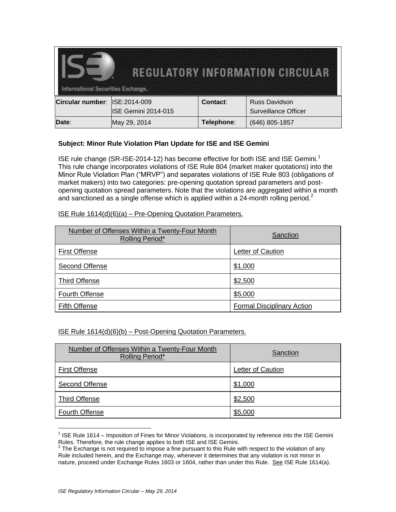| <b>REGULATORY INFORMATION CIRCULAR</b><br><b>International Securities Exchange.</b> |                            |            |                      |  |  |
|-------------------------------------------------------------------------------------|----------------------------|------------|----------------------|--|--|
| Circular number: ISE:2014-009                                                       |                            | Contact:   | <b>Russ Davidson</b> |  |  |
|                                                                                     | <b>ISE Gemini 2014-015</b> |            | Surveillance Officer |  |  |
| Date:                                                                               | May 29, 2014               | Telephone: | (646) 805-1857       |  |  |

## **Subject: Minor Rule Violation Plan Update for ISE and ISE Gemini**

ISE rule change (SR-ISE-2014-12) has become effective for both ISE and ISE Gemini.<sup>1</sup> This rule change incorporates violations of ISE Rule 804 (market maker quotations) into the Minor Rule Violation Plan ("MRVP") and separates violations of ISE Rule 803 (obligations of market makers) into two categories: pre-opening quotation spread parameters and postopening quotation spread parameters. Note that the violations are aggregated within a month and sanctioned as a single offense which is applied within a 24-month rolling period.<sup>2</sup>

| Number of Offenses Within a Twenty-Four Month<br><b>Rolling Period*</b> | Sanction                          |
|-------------------------------------------------------------------------|-----------------------------------|
| <b>First Offense</b>                                                    | Letter of Caution                 |
| Second Offense                                                          | \$1,000                           |
| <b>Third Offense</b>                                                    | \$2,500                           |
| Fourth Offense                                                          | \$5,000                           |
| <b>Fifth Offense</b>                                                    | <b>Formal Disciplinary Action</b> |

ISE Rule 1614(d)(6)(a) – Pre-Opening Quotation Parameters.

ISE Rule 1614(d)(6)(b) – Post-Opening Quotation Parameters.

| Number of Offenses Within a Twenty-Four Month<br>Rolling Period* | Sanction          |
|------------------------------------------------------------------|-------------------|
| <b>First Offense</b>                                             | Letter of Caution |
| Second Offense                                                   | \$1,000           |
| <b>Third Offense</b>                                             | \$2,500           |
| <b>Fourth Offense</b>                                            | \$5,000           |

 $\overline{a}$  $1$  ISE Rule 1614 – Imposition of Fines for Minor Violations, is incorporated by reference into the ISE Gemini Rules. Therefore, the rule change applies to both ISE and ISE Gemini.

 $2$  The Exchange is not required to impose a fine pursuant to this Rule with respect to the violation of any Rule included herein, and the Exchange may, whenever it determines that any violation is not minor in nature, proceed under Exchange Rules 1603 or 1604, rather than under this Rule. See ISE Rule 1614(a).